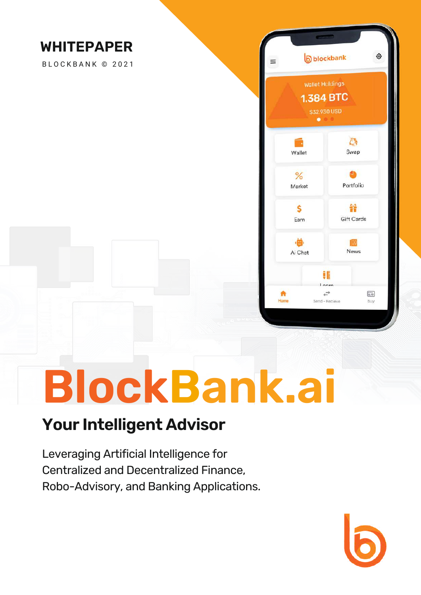

# **BlockBank.ai**

#### **Your Intelligent Advisor**

Leveraging Artificial Intelligence for Centralized and Decentralized Finance, Robo-Advisory, and Banking Applications.

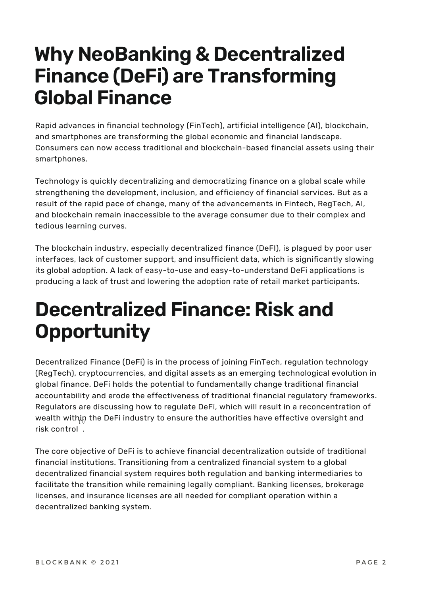## **Why NeoBanking & Decentralized Finance (DeFi) are Transforming Global Finance**

Rapid advances in financial technology (FinTech), artificial intelligence (AI), blockchain, and smartphones are transforming the global economic and financial landscape. Consumers can now access traditional and blockchain-based financial assets using their smartphones.

Technology is quickly decentralizing and democratizing finance on a global scale while strengthening the development, inclusion, and efficiency of financial services. But as a result of the rapid pace of change, many of the advancements in Fintech, RegTech, AI, and blockchain remain inaccessible to the average consumer due to their complex and tedious learning curves.

The blockchain industry, especially decentralized finance (DeFI), is plagued by poor user interfaces, lack of customer support, and insufficient data, which is significantly slowing its global adoption. A lack of easy-to-use and easy-to-understand DeFi applications is producing a lack of trust and lowering the adoption rate of retail market participants.

# **Decentralized Finance: Risk and Opportunity**

Decentralized Finance (DeFi) is in the process of joining FinTech, regulation technology (RegTech), cryptocurrencies, and digital assets as an emerging technological evolution in global finance. DeFi holds the potential to fundamentally change traditional financial accountability and erode the effectiveness of traditional financial regulatory frameworks. Regulators are discussing how to regulate DeFi, which will result in a reconcentration of wealth within the DeFi industry to ensure the authorities have effective oversight and risk control .

The core objective of DeFi is to achieve financial decentralization outside of traditional financial institutions. Transitioning from a centralized financial system to a global decentralized financial system requires both regulation and banking intermediaries to facilitate the transition while remaining legally compliant. Banking licenses, brokerage licenses, and insurance licenses are all needed for compliant operation within a decentralized banking system.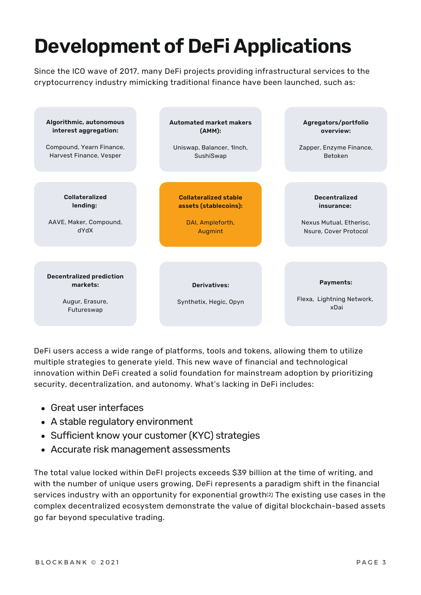# **Development of DeFi Applications**

Since the ICO wave of 2017, many DeFi projects providing infrastructural services to the cryptocurrency industry mimicking traditional finance have been launched, such as:



DeFi users access a wide range of platforms, tools and tokens, allowing them to utilize multiple strategies to generate yield. This new wave of financial and technological innovation within DeFi created a solid foundation for mainstream adoption by prioritizing security, decentralization, and autonomy. What's lacking in DeFi includes:

- Great user interfaces
- A stable regulatory environment
- Sufficient know your customer (KYC) strategies
- Accurate risk management assessments

The total value locked within DeFI projects exceeds \$39 billion at the time of writing, and with the number of unique users growing, DeFi represents a paradigm shift in the financial services industry with an opportunity for exponential growth⑵ The existing use cases in the complex decentralized ecosystem demonstrate the value of digital blockchain-based assets go far beyond speculative trading.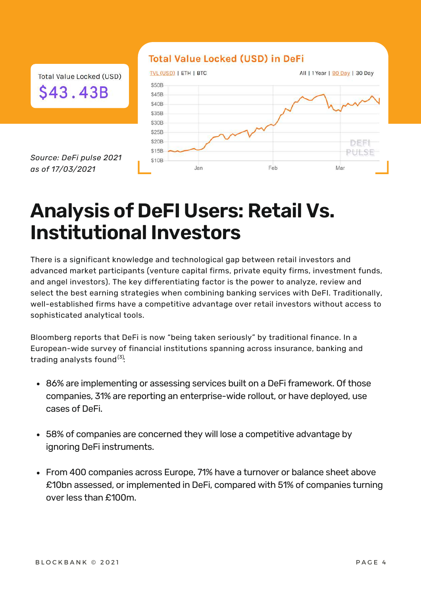#### **Total Value Locked (USD) in DeFi**

Total Value Locked (USD) \$43.43B

*Source: DeFi pulse 2021 as of 17/03/2021*



#### **Analysis of DeFI Users: Retail Vs. Institutional Investors**

There is a significant knowledge and technological gap between retail investors and advanced market participants (venture capital firms, private equity firms, investment funds, and angel investors). The key differentiating factor is the power to analyze, review and select the best earning strategies when combining banking services with DeFI. Traditionally, well-established firms have a competitive advantage over retail investors without access to sophisticated analytical tools.

Bloomberg reports that DeFi is now "being taken seriously" by traditional finance. In a European-wide survey of financial institutions spanning across insurance, banking and trading analysts found $^{(3)}$ :

- 86% are implementing or assessing services built on a DeFi framework. Of those companies, 31% are reporting an enterprise-wide rollout, or have deployed, use cases of DeFi.
- 58% of companies are concerned they will lose a competitive advantage by ignoring DeFi instruments.
- From 400 companies across Europe, 71% have a turnover or balance sheet above £10bn assessed, or implemented in DeFi, compared with 51% of companies turning over less than £100m.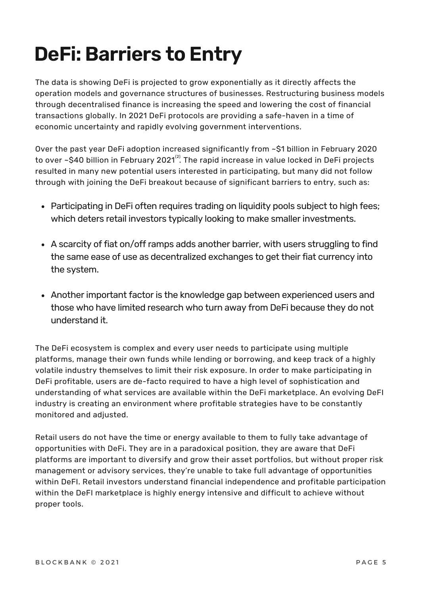# **DeFi: Barriers to Entry**

The data is showing DeFi is projected to grow exponentially as it directly affects the operation models and governance structures of businesses. Restructuring business models through decentralised finance is increasing the speed and lowering the cost of financial transactions globally. In 2021 DeFi protocols are providing a safe-haven in a time of economic uncertainty and rapidly evolving government interventions.

Over the past year DeFi adoption increased significantly from ~\$1 billion in February 2020 to over ~\$40 billion in February 2021 $^{\text{\tiny{(2)}}}$ . The rapid increase in value locked in DeFi projects resulted in many new potential users interested in participating, but many did not follow through with joining the DeFi breakout because of significant barriers to entry, such as:

- Participating in DeFi often requires trading on liquidity pools subject to high fees; which deters retail investors typically looking to make smaller investments.
- A scarcity of fiat on/off ramps adds another barrier, with users struggling to find the same ease of use as decentralized exchanges to get their fiat currency into the system.
- Another important factor is the knowledge gap between experienced users and those who have limited research who turn away from DeFi because they do not understand it.

The DeFi ecosystem is complex and every user needs to participate using multiple platforms, manage their own funds while lending or borrowing, and keep track of a highly volatile industry themselves to limit their risk exposure. In order to make participating in DeFi profitable, users are de-facto required to have a high level of sophistication and understanding of what services are available within the DeFi marketplace. An evolving DeFI industry is creating an environment where profitable strategies have to be constantly monitored and adjusted.

Retail users do not have the time or energy available to them to fully take advantage of opportunities with DeFi. They are in a paradoxical position, they are aware that DeFi platforms are important to diversify and grow their asset portfolios, but without proper risk management or advisory services, they're unable to take full advantage of opportunities within DeFI. Retail investors understand financial independence and profitable participation within the DeFI marketplace is highly energy intensive and difficult to achieve without proper tools.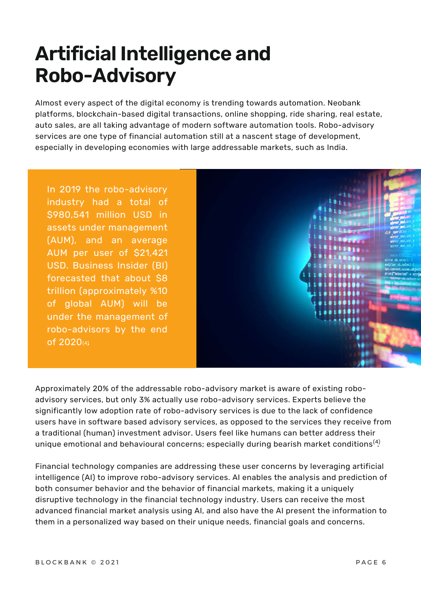# **Artificial Intelligence and Robo-Advisory**

Almost every aspect of the digital economy is trending towards automation. Neobank platforms, blockchain-based digital transactions, online shopping, ride sharing, real estate, auto sales, are all taking advantage of modern software automation tools. Robo-advisory services are one type of financial automation still at a nascent stage of development, especially in developing economies with large addressable markets, such as India.

In 2019 the robo-advisory industry had a total of \$980,541 million USD in assets under management (AUM), and an average AUM per user of \$21,421 USD. Business Insider (BI) forecasted that about \$8 trillion (approximately %10 of global AUM) will be under the management of robo-advisors by the end of 2020(4.)



Approximately 20% of the addressable robo-advisory market is aware of existing roboadvisory services, but only 3% actually use robo-advisory services. Experts believe the significantly low adoption rate of robo-advisory services is due to the lack of confidence users have in software based advisory services, as opposed to the services they receive from a traditional (human) investment advisor. Users feel like humans can better address their unique emotional and behavioural concerns; especially during bearish market conditions $^{(4)}$ 

Financial technology companies are addressing these user concerns by leveraging artificial intelligence (AI) to improve robo-advisory services. AI enables the analysis and prediction of both consumer behavior and the behavior of financial markets, making it a uniquely disruptive technology in the financial technology industry. Users can receive the most advanced financial market analysis using AI, and also have the AI present the information to them in a personalized way based on their unique needs, financial goals and concerns.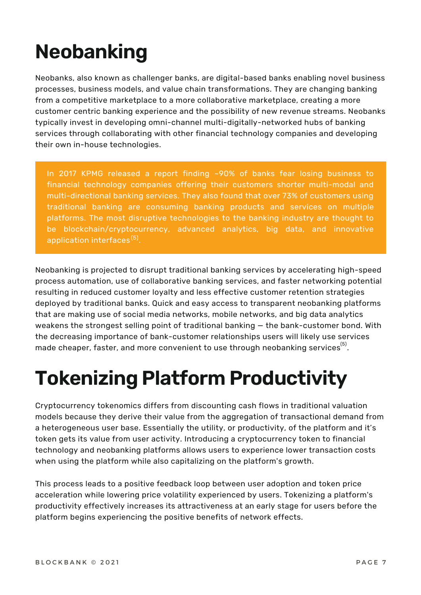# **Neobanking**

Neobanks, also known as challenger banks, are digital-based banks enabling novel business processes, business models, and value chain transformations. They are changing banking from a competitive marketplace to a more collaborative marketplace, creating a more customer centric banking experience and the possibility of new revenue streams. Neobanks typically invest in developing omni-channel multi-digitally-networked hubs of banking services through collaborating with other financial technology companies and developing their own in-house technologies.

In 2017 KPMG released a report finding ~90% of banks fear losing business to financial technology companies offering their customers shorter multi-modal and multi-directional banking services. They also found that over 73% of customers using traditional banking are consuming banking products and services on multiple platforms. The most disruptive technologies to the banking industry are thought to be blockchain/cryptocurrency, advanced analytics, big data, and innovative application interfaces<sup>(5)</sup>.

Neobanking is projected to disrupt traditional banking services by accelerating high-speed process automation, use of collaborative banking services, and faster networking potential resulting in reduced customer loyalty and less effective customer retention strategies deployed by traditional banks. Quick and easy access to transparent neobanking platforms that are making use of social media networks, mobile networks, and big data analytics weakens the strongest selling point of traditional banking — the bank-customer bond. With the decreasing importance of bank-customer relationships users will likely use services made cheaper, faster, and more convenient to use through neobanking services $^{\left( 5\right) }$ .

# **Tokenizing Platform Productivity**

Cryptocurrency tokenomics differs from discounting cash flows in traditional valuation models because they derive their value from the aggregation of transactional demand from a heterogeneous user base. Essentially the utility, or productivity, of the platform and it's token gets its value from user activity. Introducing a cryptocurrency token to financial technology and neobanking platforms allows users to experience lower transaction costs when using the platform while also capitalizing on the platform's growth.

This process leads to a positive feedback loop between user adoption and token price acceleration while lowering price volatility experienced by users. Tokenizing a platform's productivity effectively increases its attractiveness at an early stage for users before the platform begins experiencing the positive benefits of network effects.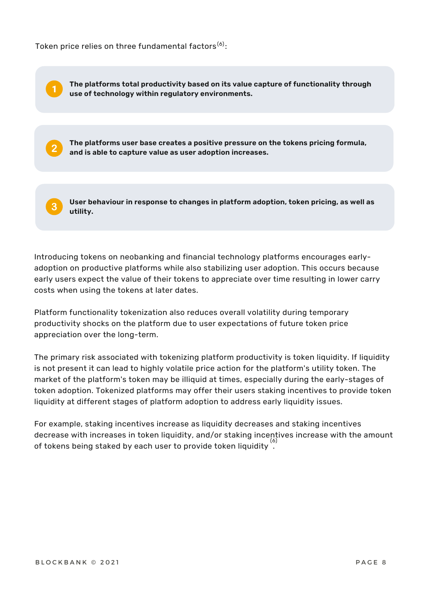Token price relies on three fundamental factors ${}^{(6)}$ :

**The platforms user base creates a positive pressure on the tokens pricing formula, and is able to capture value as user adoption increases. The platforms total productivity based on its value capture of functionality through use of technology within regulatory environments. User behaviour in response to changes in platform adoption, token pricing, as well as utility.**

Introducing tokens on neobanking and financial technology platforms encourages earlyadoption on productive platforms while also stabilizing user adoption. This occurs because early users expect the value of their tokens to appreciate over time resulting in lower carry costs when using the tokens at later dates.

Platform functionality tokenization also reduces overall volatility during temporary productivity shocks on the platform due to user expectations of future token price appreciation over the long-term.

The primary risk associated with tokenizing platform productivity is token liquidity. If liquidity is not present it can lead to highly volatile price action for the platform's utility token. The market of the platform's token may be illiquid at times, especially during the early-stages of token adoption. Tokenized platforms may offer their users staking incentives to provide token liquidity at different stages of platform adoption to address early liquidity issues.

For example, staking incentives increase as liquidity decreases and staking incentives decrease with increases in token liquidity, and/or staking incentives increase with the amount of tokens being staked by each user to provide token liquidity  $\overset{(6)}{.}$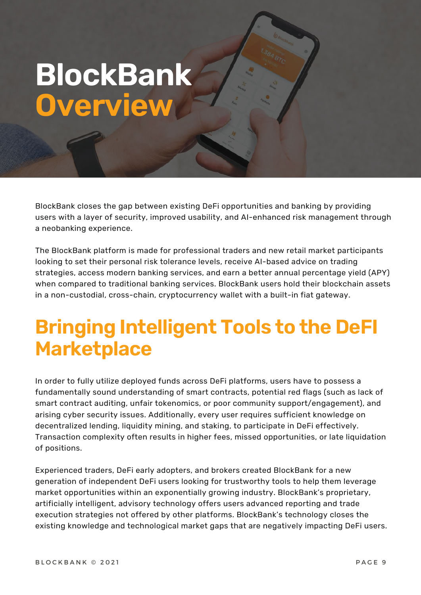# **BlockBank Overview**

BlockBank closes the gap between existing DeFi opportunities and banking by providing users with a layer of security, improved usability, and AI-enhanced risk management through a neobanking experience.

The BlockBank platform is made for professional traders and new retail market participants looking to set their personal risk tolerance levels, receive AI-based advice on trading strategies, access modern banking services, and earn a better annual percentage yield (APY) when compared to traditional banking services. BlockBank users hold their blockchain assets in a non-custodial, cross-chain, cryptocurrency wallet with a built-in fiat gateway.

#### **Bringing Intelligent Tools to the DeFI Marketplace**

In order to fully utilize deployed funds across DeFi platforms, users have to possess a fundamentally sound understanding of smart contracts, potential red flags (such as lack of smart contract auditing, unfair tokenomics, or poor community support/engagement), and arising cyber security issues. Additionally, every user requires sufficient knowledge on decentralized lending, liquidity mining, and staking, to participate in DeFi effectively. Transaction complexity often results in higher fees, missed opportunities, or late liquidation of positions.

Experienced traders, DeFi early adopters, and brokers created BlockBank for a new generation of independent DeFi users looking for trustworthy tools to help them leverage market opportunities within an exponentially growing industry. BlockBank's proprietary, artificially intelligent, advisory technology offers users advanced reporting and trade execution strategies not offered by other platforms. BlockBank's technology closes the existing knowledge and technological market gaps that are negatively impacting DeFi users.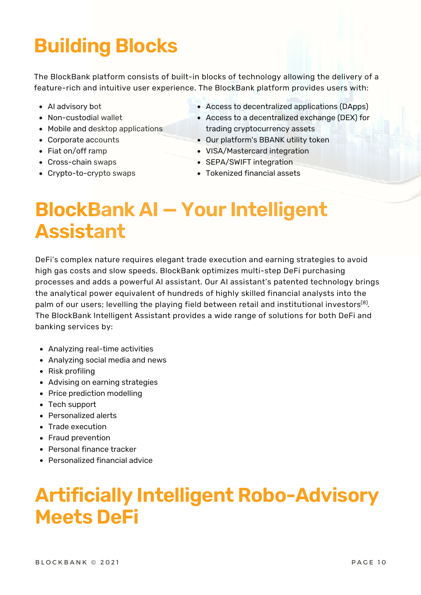# **Building Blocks**

The BlockBank platform consists of built-in blocks of technology allowing the delivery of a feature-rich and intuitive user experience. The BlockBank platform provides users with:

- AI advisory bot
- Non-custodial wallet
- Mobile and desktop applications
- Corporate accounts
- Fiat on/off ramp
- Cross-chain swaps
- Crypto-to-crypto swaps
- Access to decentralized applications (DApps)
- Access to a decentralized exchange (DEX) for trading cryptocurrency assets
- Our platform's BBANK utility token
- VISA/Mastercard integration
- SEPA/SWIFT integration
- Tokenized financial assets

### **BlockBank AI — Your Intelligent Assistant**

DeFi's complex nature requires elegant trade execution and earning strategies to avoid high gas costs and slow speeds. BlockBank optimizes multi-step DeFi purchasing processes and adds a powerful AI assistant. Our AI assistant's patented technology brings the analytical power equivalent of hundreds of highly skilled financial analysts into the palm of our users; levelling the playing field between retail and institutional investors $^{\text{\tiny{(8)}}}.$ The BlockBank Intelligent Assistant provides a wide range of solutions for both DeFi and banking services by:

- Analyzing real-time activities
- Analyzing social media and news
- Risk profiling
- Advising on earning strategies
- Price prediction modelling
- Tech support
- Personalized alerts
- Trade execution
- Fraud prevention
- Personal finance tracker
- Personalized financial advice

#### **Artificially Intelligent Robo-Advisory Meets DeFi**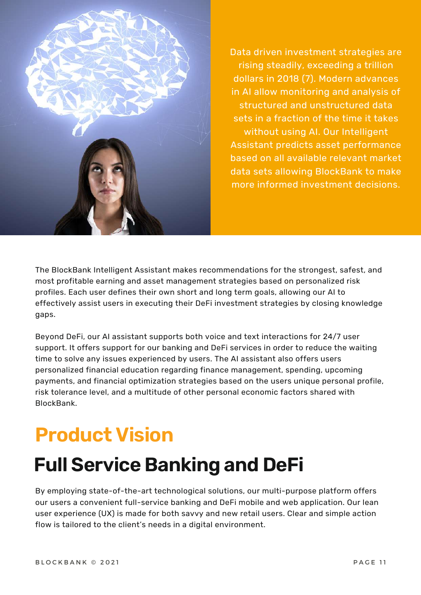

Data driven investment strategies are rising steadily, [exceeding](https://inventurerecruitment.com/news/2018/10/2/quant-hedge-funds-closing-in-on-1-trillion-in-aum) a trillion dollars in 2018 (7). Modern advances in AI allow monitoring and analysis of structured and unstructured data sets in a fraction of the time it takes without using AI. Our Intelligent Assistant predicts asset performance based on all available relevant market data sets allowing BlockBank to make more informed investment decisions.

The BlockBank Intelligent Assistant makes recommendations for the strongest, safest, and most profitable earning and asset management strategies based on personalized risk profiles. Each user defines their own short and long term goals, allowing our AI to effectively assist users in executing their DeFi investment strategies by closing knowledge gaps.

Beyond DeFi, our AI assistant supports both voice and text interactions for 24/7 user support. It offers support for our banking and DeFi services in order to reduce the waiting time to solve any issues experienced by users. The AI assistant also offers users personalized financial education regarding finance management, spending, upcoming payments, and financial optimization strategies based on the users unique personal profile, risk tolerance level, and a multitude of other personal economic factors shared with BlockBank.

# **Product Vision**

## **Full Service Banking and DeFi**

By employing state-of-the-art technological solutions, our multi-purpose platform offers our users a convenient full-service banking and DeFi mobile and web application. Our lean user experience (UX) is made for both savvy and new retail users. Clear and simple action flow is tailored to the client's needs in a digital environment.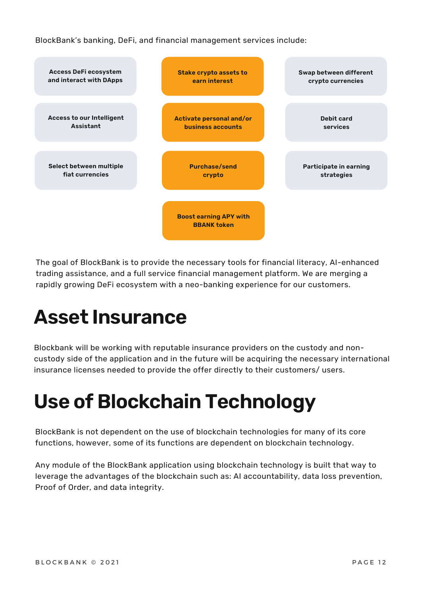BlockBank's banking, DeFi, and financial management services include:



The goal of BlockBank is to provide the necessary tools for financial literacy, AI-enhanced trading assistance, and a full service financial management platform. We are merging a rapidly growing DeFi ecosystem with a neo-banking experience for our customers.

## **Asset Insurance**

Blockbank will be working with reputable insurance providers on the custody and noncustody side of the application and in the future will be acquiring the necessary international insurance licenses needed to provide the offer directly to their customers/ users.

# **Use of Blockchain Technology**

BlockBank is not dependent on the use of blockchain technologies for many of its core functions, however, some of its functions are dependent on blockchain technology.

Any module of the BlockBank application using blockchain technology is built that way to leverage the advantages of the blockchain such as: AI accountability, data loss prevention, Proof of Order, and data integrity.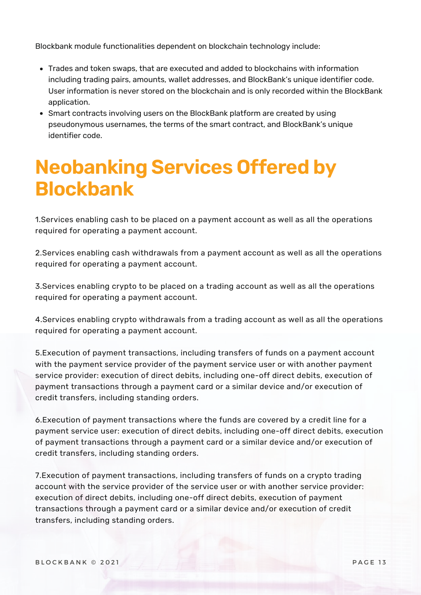Blockbank module functionalities dependent on blockchain technology include:

- Trades and token swaps, that are executed and added to blockchains with information including trading pairs, amounts, wallet addresses, and BlockBank's unique identifier code. User information is never stored on the blockchain and is only recorded within the BlockBank application.
- Smart contracts involving users on the BlockBank platform are created by using pseudonymous usernames, the terms of the smart contract, and BlockBank's unique identifier code.

### **Neobanking Services Offered by Blockbank**

1.Services enabling cash to be placed on a payment account as well as all the operations required for operating a payment account.

2.Services enabling cash withdrawals from a payment account as well as all the operations required for operating a payment account.

3.Services enabling crypto to be placed on a trading account as well as all the operations required for operating a payment account.

4.Services enabling crypto withdrawals from a trading account as well as all the operations required for operating a payment account.

5.Execution of payment transactions, including transfers of funds on a payment account with the payment service provider of the payment service user or with another payment service provider: execution of direct debits, including one-off direct debits, execution of payment transactions through a payment card or a similar device and/or execution of credit transfers, including standing orders.

6.Execution of payment transactions where the funds are covered by a credit line for a payment service user: execution of direct debits, including one-off direct debits, execution of payment transactions through a payment card or a similar device and/or execution of credit transfers, including standing orders.

7.Execution of payment transactions, including transfers of funds on a crypto trading account with the service provider of the service user or with another service provider: execution of direct debits, including one-off direct debits, execution of payment transactions through a payment card or a similar device and/or execution of credit transfers, including standing orders.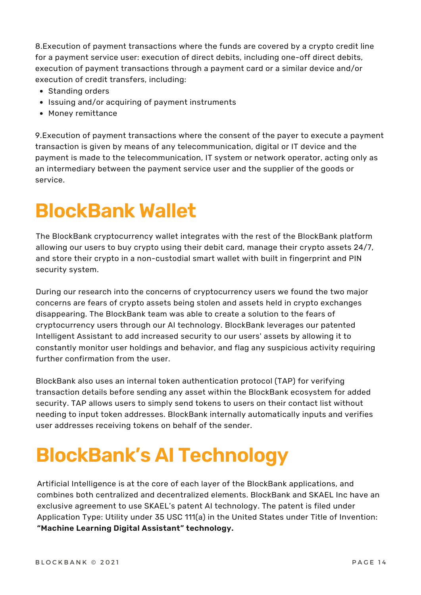8.Execution of payment transactions where the funds are covered by a crypto credit line for a payment service user: execution of direct debits, including one-off direct debits, execution of payment transactions through a payment card or a similar device and/or execution of credit transfers, including:

- Standing orders
- Issuing and/or acquiring of payment instruments
- Money remittance

9.Execution of payment transactions where the consent of the payer to execute a payment transaction is given by means of any telecommunication, digital or IT device and the payment is made to the telecommunication, IT system or network operator, acting only as an intermediary between the payment service user and the supplier of the goods or service.

## **BlockBank Wallet**

The BlockBank cryptocurrency wallet integrates with the rest of the BlockBank platform allowing our users to buy crypto using their debit card, manage their crypto assets 24/7, and store their crypto in a non-custodial smart wallet with built in fingerprint and PIN security system.

During our research into the concerns of cryptocurrency users we found the two major concerns are fears of crypto assets being stolen and assets held in crypto exchanges disappearing. The BlockBank team was able to create a solution to the fears of cryptocurrency users through our AI technology. BlockBank leverages our patented Intelligent Assistant to add increased security to our users' assets by allowing it to constantly monitor user holdings and behavior, and flag any suspicious activity requiring further confirmation from the user.

BlockBank also uses an internal token authentication protocol (TAP) for verifying transaction details before sending any asset within the BlockBank ecosystem for added security. TAP allows users to simply send tokens to users on their contact list without needing to input token addresses. BlockBank internally automatically inputs and verifies user addresses receiving tokens on behalf of the sender.

## **BlockBank's AI Technology**

Artificial Intelligence is at the core of each layer of the BlockBank applications, and combines both centralized and decentralized elements. BlockBank and SKAEL Inc have an exclusive agreement to use SKAEL's patent AI technology. The patent is filed under Application Type: Utility under 35 USC 111(a) in the United States under Title of Invention: **"Machine Learning Digital Assistant" technology.**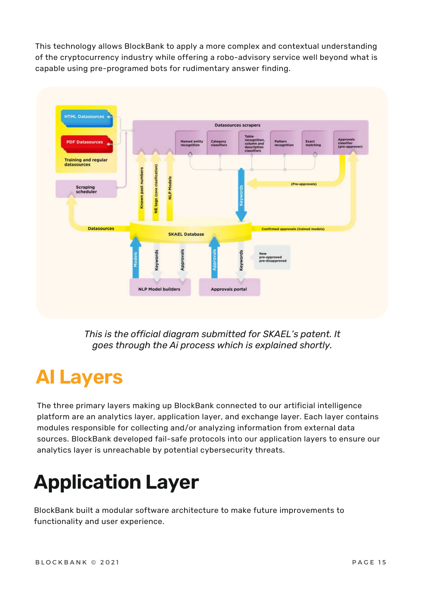This technology allows BlockBank to apply a more complex and contextual understanding of the cryptocurrency industry while offering a robo-advisory service well beyond what is capable using pre-programed bots for rudimentary answer finding.



*This is the official diagram submitted for SKAEL's patent. It goes through the Ai process which is explained shortly.*

#### **AI Layers**

The three primary layers making up BlockBank connected to our artificial intelligence platform are an analytics layer, application layer, and exchange layer. Each layer contains modules responsible for collecting and/or analyzing information from external data sources. BlockBank developed fail-safe protocols into our application layers to ensure our analytics layer is unreachable by potential cybersecurity threats.

# **Application Layer**

BlockBank built a modular software architecture to make future improvements to functionality and user experience.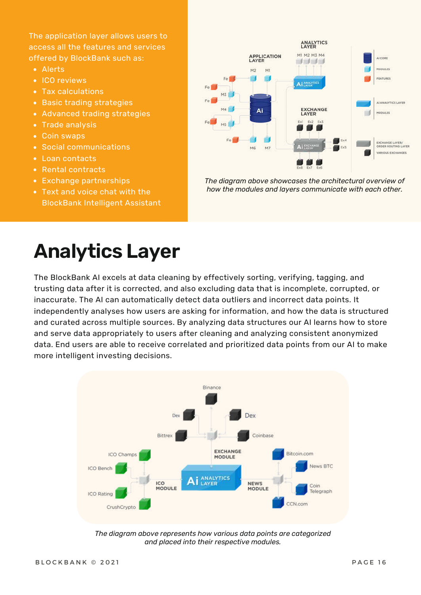The application layer allows users to access all the features and services offered by BlockBank such as:

- Alerts
- ICO reviews
- Tax calculations
- **Basic trading strategies**
- Advanced trading strategies
- Trade analysis
- Coin swaps
- Social communications
- Loan contacts
- Rental contracts
- Exchange partnerships
- Text and voice chat with the BlockBank Intelligent Assistant



*The diagram above showcases the architectural overview of how the modules and layers communicate with each other.*

### **Analytics Layer**

The BlockBank AI excels at data cleaning by effectively sorting, verifying, tagging, and trusting data after it is corrected, and also excluding data that is incomplete, corrupted, or inaccurate. The AI can automatically detect data outliers and incorrect data points. It independently analyses how users are asking for information, and how the data is structured and curated across multiple sources. By analyzing data structures our AI learns how to store and serve data appropriately to users after cleaning and analyzing consistent anonymized data. End users are able to receive correlated and prioritized data points from our AI to make more intelligent investing decisions.



*The diagram above represents how various data points are categorized and placed into their respective modules.*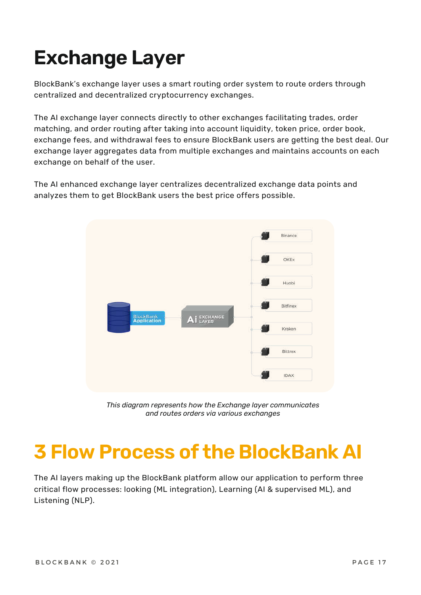# **Exchange Layer**

BlockBank's exchange layer uses a smart routing order system to route orders through centralized and decentralized cryptocurrency exchanges.

The AI exchange layer connects directly to other exchanges facilitating trades, order matching, and order routing after taking into account liquidity, token price, order book, exchange fees, and withdrawal fees to ensure BlockBank users are getting the best deal. Our exchange layer aggregates data from multiple exchanges and maintains accounts on each exchange on behalf of the user.

The AI enhanced exchange layer centralizes decentralized exchange data points and analyzes them to get BlockBank users the best price offers possible.



*This diagram represents how the Exchange layer communicates and routes orders via various exchanges*

## **3 Flow Process of the BlockBank AI**

The AI layers making up the BlockBank platform allow our application to perform three critical flow processes: looking (ML integration), Learning (AI & supervised ML), and Listening (NLP).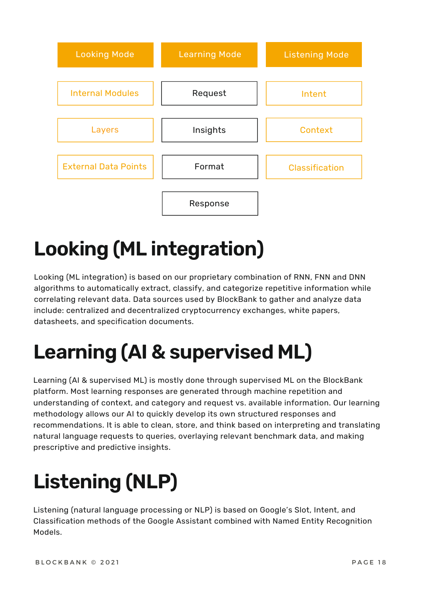

# **Looking (ML integration)**

Looking (ML integration) is based on our proprietary combination of RNN, FNN and DNN algorithms to automatically extract, classify, and categorize repetitive information while correlating relevant data. Data sources used by BlockBank to gather and analyze data include: centralized and decentralized cryptocurrency exchanges, white papers, datasheets, and specification documents.

# **Learning (AI & supervised ML)**

Learning (AI & supervised ML) is mostly done through supervised ML on the BlockBank platform. Most learning responses are generated through machine repetition and understanding of context, and category and request vs. available information. Our learning methodology allows our AI to quickly develop its own structured responses and recommendations. It is able to clean, store, and think based on interpreting and translating natural language requests to queries, overlaying relevant benchmark data, and making prescriptive and predictive insights.

# **Listening (NLP)**

Listening (natural language processing or NLP) is based on Google's Slot, Intent, and Classification methods of the Google Assistant combined with Named Entity Recognition Models.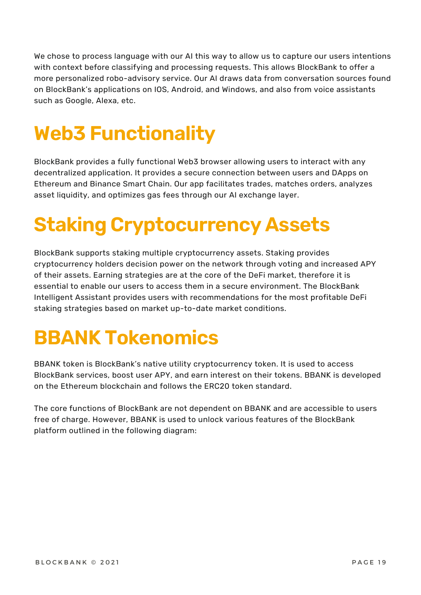We chose to process language with our AI this way to allow us to capture our users intentions with context before classifying and processing requests. This allows BlockBank to offer a more personalized robo-advisory service. Our AI draws data from conversation sources found on BlockBank's applications on IOS, Android, and Windows, and also from voice assistants such as Google, Alexa, etc.

# **Web3 Functionality**

BlockBank provides a fully functional Web3 browser allowing users to interact with any decentralized application. It provides a secure connection between users and DApps on Ethereum and Binance Smart Chain. Our app facilitates trades, matches orders, analyzes asset liquidity, and optimizes gas fees through our AI exchange layer.

# **Staking Cryptocurrency Assets**

BlockBank supports staking multiple cryptocurrency assets. Staking provides cryptocurrency holders decision power on the network through voting and increased APY of their assets. Earning strategies are at the core of the DeFi market, therefore it is essential to enable our users to access them in a secure environment. The BlockBank Intelligent Assistant provides users with recommendations for the most profitable DeFi staking strategies based on market up-to-date market conditions.

# **BBANK Tokenomics**

BBANK token is BlockBank's native utility cryptocurrency token. It is used to access BlockBank services, boost user APY, and earn interest on their tokens. BBANK is developed on the Ethereum blockchain and follows the ERC20 token standard.

The core functions of BlockBank are not dependent on BBANK and are accessible to users free of charge. However, BBANK is used to unlock various features of the BlockBank platform outlined in the following diagram: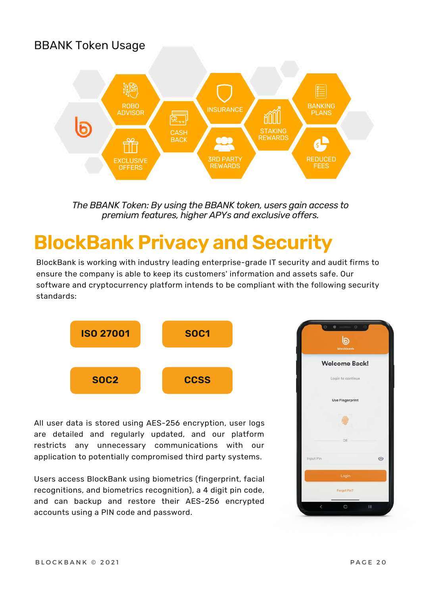#### BBANK Token Usage



*The BBANK Token: By using the BBANK token, users gain access to premium features, higher APYs and exclusive offers.*

#### **BlockBank Privacy and Security**

BlockBank is working with industry leading enterprise-grade IT security and audit firms to ensure the company is able to keep its customers' information and assets safe. Our software and cryptocurrency platform intends to be compliant with the following security standards:



All user data is stored using AES-256 encryption, user logs are detailed and regularly updated, and our platform restricts any unnecessary communications with our application to potentially compromised third party systems.

Users access BlockBank using biometrics (fingerprint, facial recognitions, and biometrics recognition), a 4 digit pin code, and can backup and restore their AES-256 encrypted accounts using a PIN code and password.

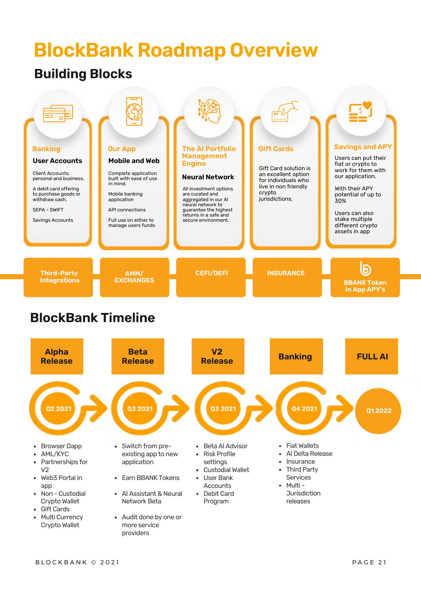### **BlockBank Roadmap Overview**

#### **Building Blocks**

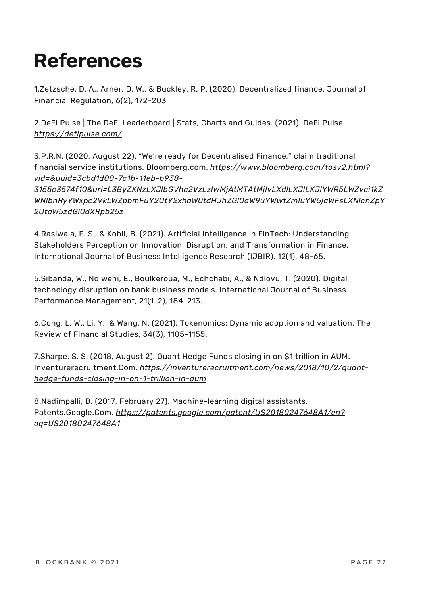# **References**

1.Zetzsche, D. A., Arner, D. W., & Buckley, R. P. (2020). Decentralized finance. Journal of Financial Regulation, 6(2), 172-203

2.DeFi Pulse | The DeFi Leaderboard | Stats, Charts and Guides. (2021). DeFi Pulse. *<https://defipulse.com/>*

3.P.R.N. (2020, August 22). "We're ready for Decentralised Finance," claim traditional financial service institutions. Bloomberg.com. *https://www.bloomberg.com/tosv2.html? vid=&uuid=3cbd1d00-7c1b-11eb-b938-*

*3155c3574f10&url=L3ByZXNzLXJlbGVhc2VzLzIwMjAtMTAtMjIvLXdlLXJlLXJlYWR5LWZvci1kZ [WNlbnRyYWxpc2VkLWZpbmFuY2UtY2xhaW0tdHJhZGl0aW9uYWwtZmluYW5jaWFsLXNlcnZpY](https://www.bloomberg.com/tosv2.html?vid=&uuid=3cbd1d00-7c1b-11eb-b938-3155c3574f10&url=L3ByZXNzLXJlbGVhc2VzLzIwMjAtMTAtMjIvLXdlLXJlLXJlYWR5LWZvci1kZWNlbnRyYWxpc2VkLWZpbmFuY2UtY2xhaW0tdHJhZGl0aW9uYWwtZmluYW5jaWFsLXNlcnZpY2UtaW5zdGl0dXRpb25z) 2UtaW5zdGl0dXRpb25z*

4.Rasiwala, F. S., & Kohli, B. (2021). Artificial Intelligence in FinTech: Understanding Stakeholders Perception on Innovation, Disruption, and Transformation in Finance. International Journal of Business Intelligence Research (IJBIR), 12(1), 48-65.

5.Sibanda, W., Ndiweni, E., Boulkeroua, M., Echchabi, A., & Ndlovu, T. (2020). Digital technology disruption on bank business models. International Journal of Business Performance Management, 21(1-2), 184-213.

6.Cong, L. W., Li, Y., & Wang, N. (2021). Tokenomics: Dynamic adoption and valuation. The Review of Financial Studies, 34(3), 1105-1155.

7.Sharpe, S. S. (2018, August 2). Quant Hedge Funds closing in on \$1 trillion in AUM. Inventurerecruitment.Com. *https://inventurerecruitment.com/news/2018/10/2/quanthedge-funds-closing-in-on-1-trillion-in-aum*

8.Nadimpalli, B. (2017, February 27). Machine-learning digital assistants. Patents.Google.Com. *[https://patents.google.com/patent/US20180247648A1/en?](https://patents.google.com/patent/US20180247648A1/en?oq=US20180247648A1) oq=US20180247648A1*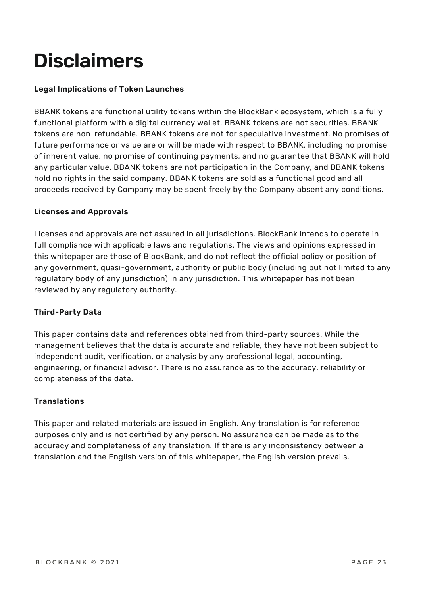# **Disclaimers**

#### **Legal Implications of Token Launches**

BBANK tokens are functional utility tokens within the BlockBank ecosystem, which is a fully functional platform with a digital currency wallet. BBANK tokens are not securities. BBANK tokens are non-refundable. BBANK tokens are not for speculative investment. No promises of future performance or value are or will be made with respect to BBANK, including no promise of inherent value, no promise of continuing payments, and no guarantee that BBANK will hold any particular value. BBANK tokens are not participation in the Company, and BBANK tokens hold no rights in the said company. BBANK tokens are sold as a functional good and all proceeds received by Company may be spent freely by the Company absent any conditions.

#### **Licenses and Approvals**

Licenses and approvals are not assured in all jurisdictions. BlockBank intends to operate in full compliance with applicable laws and regulations. The views and opinions expressed in this whitepaper are those of BlockBank, and do not reflect the official policy or position of any government, quasi-government, authority or public body (including but not limited to any regulatory body of any jurisdiction) in any jurisdiction. This whitepaper has not been reviewed by any regulatory authority.

#### **Third-Party Data**

This paper contains data and references obtained from third-party sources. While the management believes that the data is accurate and reliable, they have not been subject to independent audit, verification, or analysis by any professional legal, accounting, engineering, or financial advisor. There is no assurance as to the accuracy, reliability or completeness of the data.

#### **Translations**

This paper and related materials are issued in English. Any translation is for reference purposes only and is not certified by any person. No assurance can be made as to the accuracy and completeness of any translation. If there is any inconsistency between a translation and the English version of this whitepaper, the English version prevails.